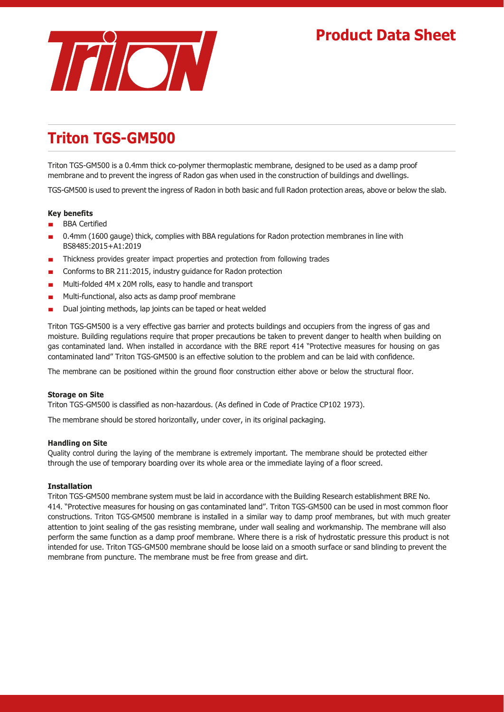## **Product Data Sheet**



# **Triton TGS-GM500**

Triton TGS-GM500 is a 0.4mm thick co-polymer thermoplastic membrane, designed to be used as a damp proof membrane and to prevent the ingress of Radon gas when used in the construction of buildings and dwellings.

TGS-GM500 is used to prevent the ingress of Radon in both basic and full Radon protection areas, above or below the slab.

### **Key benefits**

- BBA Certified
- 0.4mm (1600 gauge) thick, complies with BBA regulations for Radon protection membranes in line with BS8485:2015+A1:2019
- Thickness provides greater impact properties and protection from following trades
- Conforms to BR 211:2015, industry guidance for Radon protection
- Multi-folded 4M x 20M rolls, easy to handle and transport
- Multi-functional, also acts as damp proof membrane
- Dual jointing methods, lap joints can be taped or heat welded

Triton TGS-GM500 is a very effective gas barrier and protects buildings and occupiers from the ingress of gas and moisture. Building regulations require that proper precautions be taken to prevent danger to health when building on gas contaminated land. When installed in accordance with the BRE report 414 "Protective measures for housing on gas contaminated land" Triton TGS-GM500 is an effective solution to the problem and can be laid with confidence.

The membrane can be positioned within the ground floor construction either above or below the structural floor.

#### **Storage on Site**

Triton TGS-GM500 is classified as non-hazardous. (As defined in Code of Practice CP102 1973).

The membrane should be stored horizontally, under cover, in its original packaging.

#### **Handling on Site**

Quality control during the laying of the membrane is extremely important. The membrane should be protected either through the use of temporary boarding over its whole area or the immediate laying of a floor screed.

#### **Installation**

Triton TGS-GM500 membrane system must be laid in accordance with the Building Research establishment BRE No. 414. "Protective measures for housing on gas contaminated land". Triton TGS-GM500 can be used in most common floor constructions. Triton TGS-GM500 membrane is installed in a similar way to damp proof membranes, but with much greater attention to joint sealing of the gas resisting membrane, under wall sealing and workmanship. The membrane will also perform the same function as a damp proof membrane. Where there is a risk of hydrostatic pressure this product is not intended for use. Triton TGS-GM500 membrane should be loose laid on a smooth surface or sand blinding to prevent the membrane from puncture. The membrane must be free from grease and dirt.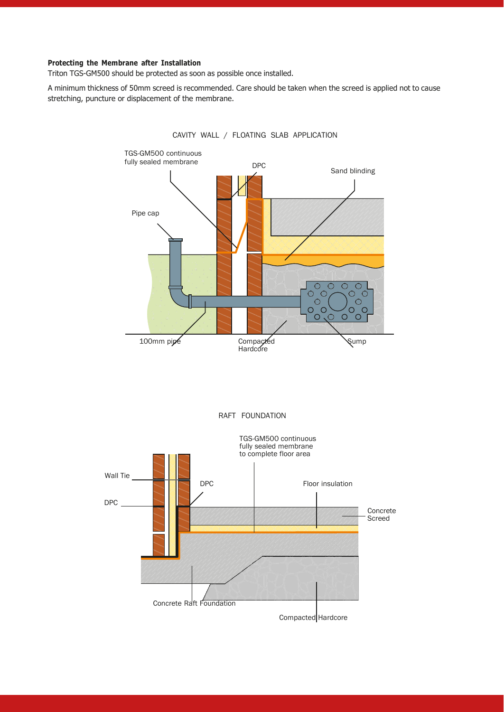## **Protecting the Membrane after Installation**

Triton TGS-GM500 should be protected as soon as possible once installed.

A minimum thickness of 50mm screed is recommended. Care should be taken when the screed is applied not to cause stretching, puncture or displacement of the membrane.



CAVITY WALL / FLOATING SLAB APPLICATION



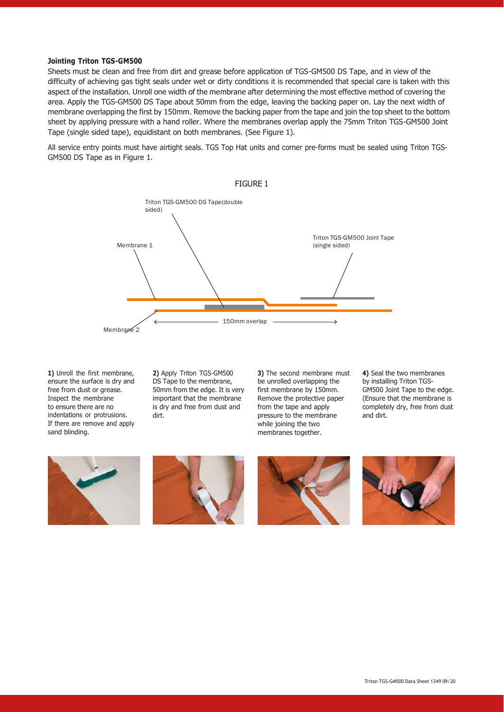#### **Jointing Triton TGS-GM500**

Sheets must be clean and free from dirt and grease before application of TGS-GM500 DS Tape, and in view of the difficulty of achieving gas tight seals under wet or dirty conditions it is recommended that special care is taken with this aspect of the installation. Unroll one width of the membrane after determining the most effective method of covering the area. Apply the TGS-GM500 DS Tape about 50mm from the edge, leaving the backing paper on. Lay the next width of membrane overlapping the first by 150mm. Remove the backing paper from the tape and join the top sheet to the bottom sheet by applying pressure with a hand roller. Where the membranes overlap apply the 75mm Triton TGS-GM500 Joint Tape (single sided tape), equidistant on both membranes. (See Figure 1).

All service entry points must have airtight seals. TGS Top Hat units and corner pre-forms must be sealed using Triton TGS-GM500 DS Tape as in Figure 1.



**1)** Unroll the first membrane, ensure the surface is dry and free from dust or grease. Inspect the membrane to ensure there are no indentations or protrusions. If there are remove and apply sand blinding.

**2)** Apply Triton TGS-GM500 DS Tape to the membrane, 50mm from the edge. It is very important that the membrane is dry and free from dust and dirt.

**3)** The second membrane must be unrolled overlapping the first membrane by 150mm. Remove the protective paper from the tape and apply pressure to the membrane while joining the two membranes together.

**4)** Seal the two membranes by installing Triton TGS-GM500 Joint Tape to the edge. (Ensure that the membrane is completely dry, free from dust and dirt.